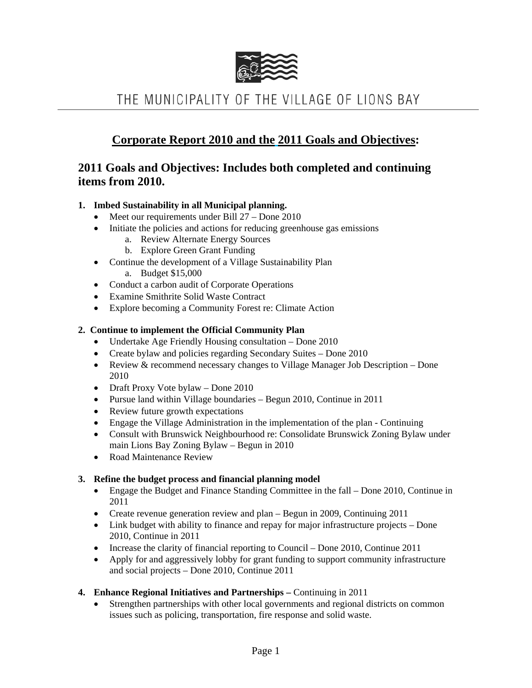

# THE MUNICIPALITY OF THE VILLAGE OF LIONS BAY

## **Corporate Report 2010 and the 2011 Goals and Objectives:**

### **2011 Goals and Objectives: Includes both completed and continuing items from 2010.**

#### **1. Imbed Sustainability in all Municipal planning.**

- Meet our requirements under Bill 27 Done 2010
- Initiate the policies and actions for reducing greenhouse gas emissions
	- a. Review Alternate Energy Sources
	- b. Explore Green Grant Funding
- Continue the development of a Village Sustainability Plan
	- a. Budget \$15,000
- Conduct a carbon audit of Corporate Operations
- Examine Smithrite Solid Waste Contract
- Explore becoming a Community Forest re: Climate Action

#### **2. Continue to implement the Official Community Plan**

- Undertake Age Friendly Housing consultation Done 2010
- Create bylaw and policies regarding Secondary Suites Done 2010
- Review & recommend necessary changes to Village Manager Job Description Done 2010
- Draft Proxy Vote bylaw Done 2010
- Pursue land within Village boundaries Begun 2010, Continue in 2011
- Review future growth expectations
- Engage the Village Administration in the implementation of the plan Continuing
- Consult with Brunswick Neighbourhood re: Consolidate Brunswick Zoning Bylaw under main Lions Bay Zoning Bylaw – Begun in 2010
- Road Maintenance Review

#### **3. Refine the budget process and financial planning model**

- Engage the Budget and Finance Standing Committee in the fall Done 2010, Continue in 2011
- Create revenue generation review and plan Begun in 2009, Continuing 2011
- Link budget with ability to finance and repay for major infrastructure projects Done 2010, Continue in 2011
- Increase the clarity of financial reporting to Council Done 2010, Continue 2011
- Apply for and aggressively lobby for grant funding to support community infrastructure and social projects – Done 2010, Continue 2011
- **4. Enhance Regional Initiatives and Partnerships** Continuing in 2011
	- Strengthen partnerships with other local governments and regional districts on common issues such as policing, transportation, fire response and solid waste.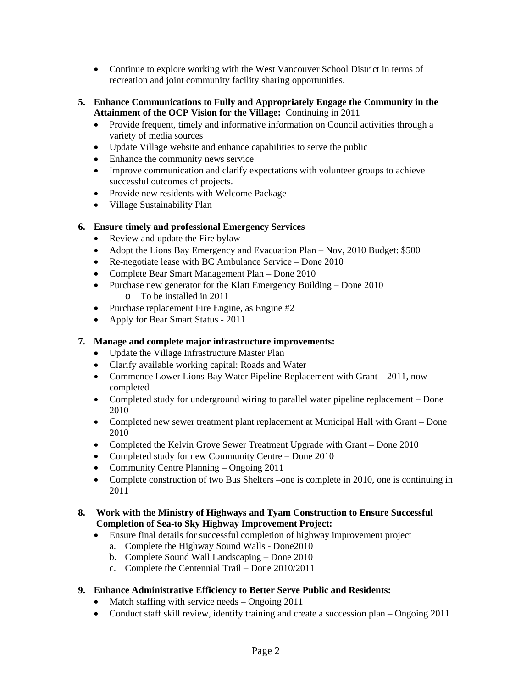- Continue to explore working with the West Vancouver School District in terms of recreation and joint community facility sharing opportunities.
- **5. Enhance Communications to Fully and Appropriately Engage the Community in the Attainment of the OCP Vision for the Village:** Continuing in 2011
	- Provide frequent, timely and informative information on Council activities through a variety of media sources
	- Update Village website and enhance capabilities to serve the public
	- Enhance the community news service
	- Improve communication and clarify expectations with volunteer groups to achieve successful outcomes of projects.
	- Provide new residents with Welcome Package
	- Village Sustainability Plan

#### **6. Ensure timely and professional Emergency Services**

- Review and update the Fire bylaw
- Adopt the Lions Bay Emergency and Evacuation Plan Nov, 2010 Budget: \$500
- Re-negotiate lease with BC Ambulance Service Done 2010
- Complete Bear Smart Management Plan Done 2010
- Purchase new generator for the Klatt Emergency Building Done 2010 o To be installed in 2011
- Purchase replacement Fire Engine, as Engine #2
- Apply for Bear Smart Status 2011

#### **7. Manage and complete major infrastructure improvements:**

- Update the Village Infrastructure Master Plan
- Clarify available working capital: Roads and Water
- Commence Lower Lions Bay Water Pipeline Replacement with Grant 2011, now completed
- Completed study for underground wiring to parallel water pipeline replacement Done 2010
- Completed new sewer treatment plant replacement at Municipal Hall with Grant Done 2010
- Completed the Kelvin Grove Sewer Treatment Upgrade with Grant Done 2010
- Completed study for new Community Centre Done 2010
- Community Centre Planning Ongoing 2011
- Complete construction of two Bus Shelters –one is complete in 2010, one is continuing in 2011

#### **8. Work with the Ministry of Highways and Tyam Construction to Ensure Successful Completion of Sea-to Sky Highway Improvement Project:**

- Ensure final details for successful completion of highway improvement project
	- a. Complete the Highway Sound Walls Done2010
	- b. Complete Sound Wall Landscaping Done 2010
	- c. Complete the Centennial Trail Done 2010/2011
- **9. Enhance Administrative Efficiency to Better Serve Public and Residents:** 
	- Match staffing with service needs Ongoing 2011
	- Conduct staff skill review, identify training and create a succession plan Ongoing 2011